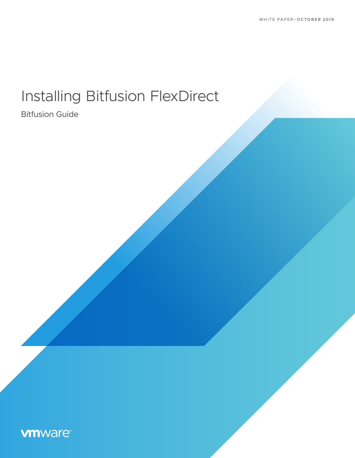# Installing Bitfusion FlexDirect

Bitfusion Guide

## **vm**ware<sup>®</sup>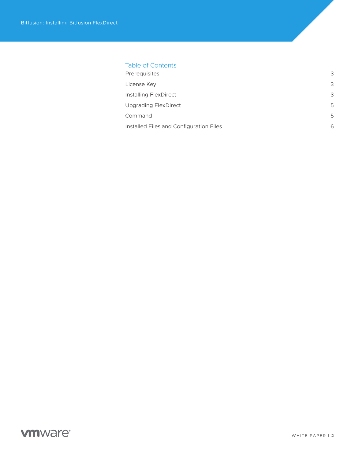#### Table of Contents

| Prerequisites                           | 3 |
|-----------------------------------------|---|
| License Key                             | 3 |
| Installing FlexDirect                   | 3 |
| <b>Upgrading FlexDirect</b>             | 5 |
| Command                                 | 5 |
| Installed Files and Configuration Files |   |

## **vmware®**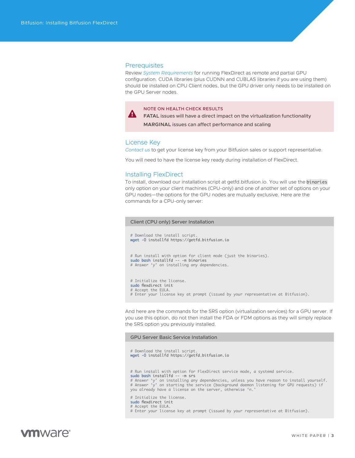#### <span id="page-2-0"></span>**Prerequisites**

Review *[System Requirements](https://www-review.vmware.com/solutions/business-critical-apps/hardwareaccelerators-virtualization.html
)* for running FlexDirect as remote and partial GPU configuration. CUDA libraries (plus CUDNN and CUBLAS libraries if you are using them) should be installed on CPU Client nodes, but the GPU driver only needs to be installed on the GPU Server nodes.

#### NOTE ON HEALTH CHECK RESULTS

**FATAL** issues will have a direct impact on the virtualization functionality **MARGINAL** issues can affect performance and scaling

#### License Key

*[Contact us](mailto:askbitfusion%40vmware.com?subject=)* to get your license key from your Bitfusion sales or support representative.

You will need to have the license key ready during installation of FlexDirect.

#### Installing FlexDirect

To install, download our installation script at getfd.bitfusion.io. You will use the binaries only option on your client machines (CPU-only) and one of another set of options on your GPU nodes—the options for the GPU nodes are mutually exclusive. Here are the commands for a CPU-only server:

```
Client (CPU only) Server Installation
# Download the install script.
wget -O installfd https://getfd.bitfusion.io
# Run install with option for client mode (just the binaries).
sudo bash installfd -- -m binaries
# Answer 'y' on installing any dependencies.
# Initialize the license.
sudo flexdirect init
# Accept the EULA.
# Enter your license key at prompt (issued by your representative at Bitfusion).
```
And here are the commands for the SRS option (virtualization services) for a GPU server. If you use this option, do not then install the FDA or FDM options as they will simply replace the SRS option you previously installed.

#### GPU Server Basic Service Installation

# Download the install script. wget -O installfd https://getfd.bitfusion.io # Run install with option for FlexDirect service mode, a systemd service. sudo bash installfd -- -m srs # Answer 'y' on installing any dependencies, unless you have reason to install yourself. # Answer 'y' on starting the service (background daemon listening for GPU requests) if you already have a license on the server, otherwise 'n.' # Initialize the license. sudo flexdirect init # Accept the EULA. # Enter your license key at prompt (issued by your representative at Bitfusion).

## mware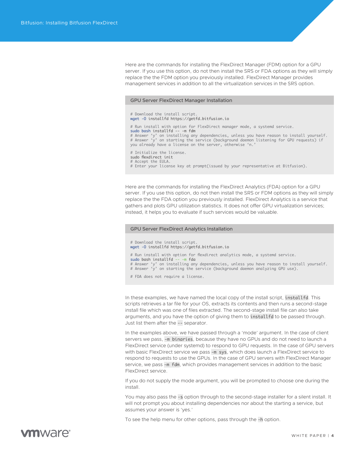Here are the commands for installing the FlexDirect Manager (FDM) option for a GPU server. If you use this option, do not then install the SRS or FDA options as they will simply replace the the FDM option you previously installed. FlexDirect Manager provides management services in addition to all the virtualization services in the SRS option.

#### GPU Server FlexDirect Manager Installation

| # Download the install script.<br>wget -O installfd https://getfd.bitfusion.io                                                                                                                                                                                                                                                                           |
|----------------------------------------------------------------------------------------------------------------------------------------------------------------------------------------------------------------------------------------------------------------------------------------------------------------------------------------------------------|
| # Run install with option for FlexDirect manager mode, a systemd service.<br>sudo bash installfd -- -m fdm<br># Answer'y'on installing any dependencies, unless you have reason to install yourself.<br># Answer'y'on starting the service (background daemon listening for GPU requests) if<br>you already have a license on the server, otherwise 'n.' |
| # Initialize the license.<br>sudo flexdirect init<br># Accept the EULA.<br># Enter your license key at prompt(issued by your representative at Bitfusion).                                                                                                                                                                                               |

Here are the commands for installing the FlexDirect Analytics (FDA) option for a GPU server. If you use this option, do not then install the SRS or FDM options as they will simply replace the the FDA option you previously installed. FlexDirect Analytics is a service that gathers and plots GPU utilization statistics. It does not offer GPU virtualization services; instead, it helps you to evaluate if such services would be valuable.

#### GPU Server FlexDirect Analytics Installation

# Download the install script. wget -O installfd https://getfd.bitfusion.io # Run install with option for flexdirect analytics mode, a systemd service. sudo bash installfd -- -m fda # Answer 'y' on installing any dependencies, unless you have reason to install yourself. # Answer 'y' on starting the service (background daemon analyzing GPU use).

# FDA does not require a license.

In these examples, we have named the local copy of the install script, installfd. This scripts retrieves a tar file for your OS, extracts its contents and then runs a second-stage install file which was one of files extracted. The second-stage install file can also take arguments, and you have the option of giving them to installfd to be passed through. Just list them after the -- separator.

In the examples above, we have passed through a 'mode' argument. In the case of client servers we pass, -m binaries, because they have no GPUs and do not need to launch a FlexDirect service (under systemd) to respond to GPU requests. In the case of GPU servers with basic FlexDirect service we pass -m sys, which does launch a FlexDirect service to respond to requests to use the GPUs. In the case of GPU servers with FlexDirect Manager service, we pass -m fdm, which provides management services in addition to the basic FlexDirect service.

If you do not supply the mode argument, you will be prompted to choose one during the install.

You may also pass the -s option through to the second-stage installer for a silent install. It will not prompt you about installing dependencies nor about the starting a service, but assumes your answer is 'yes.'

To see the help menu for other options, pass through the -h option.

## **vm**ware<sup>®</sup>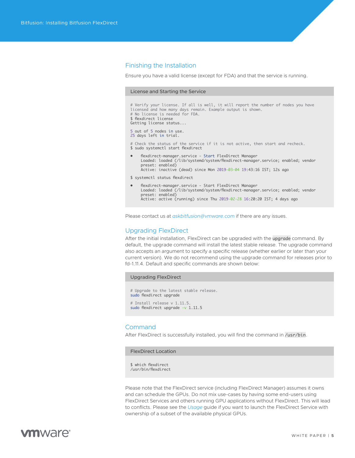#### <span id="page-4-0"></span>Finishing the Installation

Ensure you have a valid license (except for FDA) and that the service is running.

#### License and Starting the Service

# Verify your license. If all is well, it will report the number of nodes you have licensed and how many days remain. Example output is shown. # No license is needed for FDA. \$ flexdirect license Getting license status... 5 out of 5 nodes in use. 25 days left in trial. # Check the status of the service if it is not active, then start and recheck. \$ sudo systemctl start flexdirect • flexdirect-manager.service - Start FlexDirect Manager Loaded: loaded (/lib/systemd/system/flexdirect-manager.service; enabled; vendor preset: enabled) Active: inactive (dead) since Mon 2019-03-04 19:43:16 IST; 12s ago \$ systemctl status flexdirect • flexdirect-manager.service - Start FlexDirect Manager Loaded: loaded (/lib/systemd/system/flexdirect-manager.service; enabled; vendor preset: enabled)

Active: active (running) since Thu 2019-02-28 16:20:20 IST; 4 days ago

Please contact us at *[askbitfusion@vmware.com](mailto:askbitfusion%40vmware.com?subject=)* if there are any issues.

#### Upgrading FlexDirect

After the initial installation, FlexDirect can be upgraded with the upgrade command. By default, the upgrade command will install the latest stable release. The upgrade command also accepts an argument to specify a specific release (whether earlier or later than your current version). We do not recommend using the upgrade command for releases prior to fd-1.11.4. Default and specific commands are shown below:

#### Upgrading FlexDirect

# Upgrade to the latest stable release. sudo flexdirect uparade # Install release v 1.11.5. sudo flexdirect upgrade -v 1.11.5

#### Command

After FlexDirect is successfully installed, you will find the command in /usr/bin.

FlexDirect Location

\$ which flexdirect /usr/bin/flexdirect

Please note that the FlexDirect service (including FlexDirect Manager) assumes it owns and can schedule the GPUs. Do not mix use-cases by having some end-users using FlexDirect Services and others running GPU applications without FlexDirect. This will lead to conflicts. Please see the *[Usage](https://www-review.vmware.com/solutions/business-critical-apps/hardwareaccelerators-virtualization.html)* guide if you want to launch the FlexDirect Service with ownership of a subset of the available physical GPUs.

## mware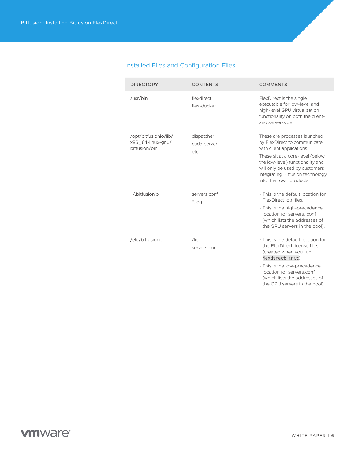| <b>DIRECTORY</b>                                            | <b>CONTENTS</b>                   | <b>COMMENTS</b>                                                                                                                                                                                                                                                     |
|-------------------------------------------------------------|-----------------------------------|---------------------------------------------------------------------------------------------------------------------------------------------------------------------------------------------------------------------------------------------------------------------|
| /usr/bin                                                    | flexdirect<br>flex-docker         | FlexDirect is the single<br>executable for low-level and<br>high-level GPU virtualization<br>functionality on both the client-<br>and server-side.                                                                                                                  |
| /opt/bitfusionio/lib/<br>x86_64-linux-gnu/<br>bitfusion/bin | dispatcher<br>cuda-server<br>etc. | These are processes launched<br>by FlexDirect to communicate<br>with client applications.<br>These sit at a core-level (below<br>the low-level) functionality and<br>will only be used by customers<br>integrating Bitfusion technology<br>into their own products. |
| ~/.bitfusionio                                              | servers.conf<br>Pol.              | • This is the default location for<br>FlexDirect log files.<br>• This is the high-precedence<br>location for servers, conf<br>(which lists the addresses of<br>the GPU servers in the pool).                                                                        |
| /etc/bitfusionio                                            | $\sqrt{C}$<br>servers.conf        | • This is the default location for<br>the FlexDirect license files<br>(created when you run<br>flexdirect init).<br>• This is the low-precedence<br>location for servers.conf<br>(which lists the addresses of<br>the GPU servers in the pool).                     |

### <span id="page-5-0"></span>Installed Files and Configuration Files

## **vmware®**